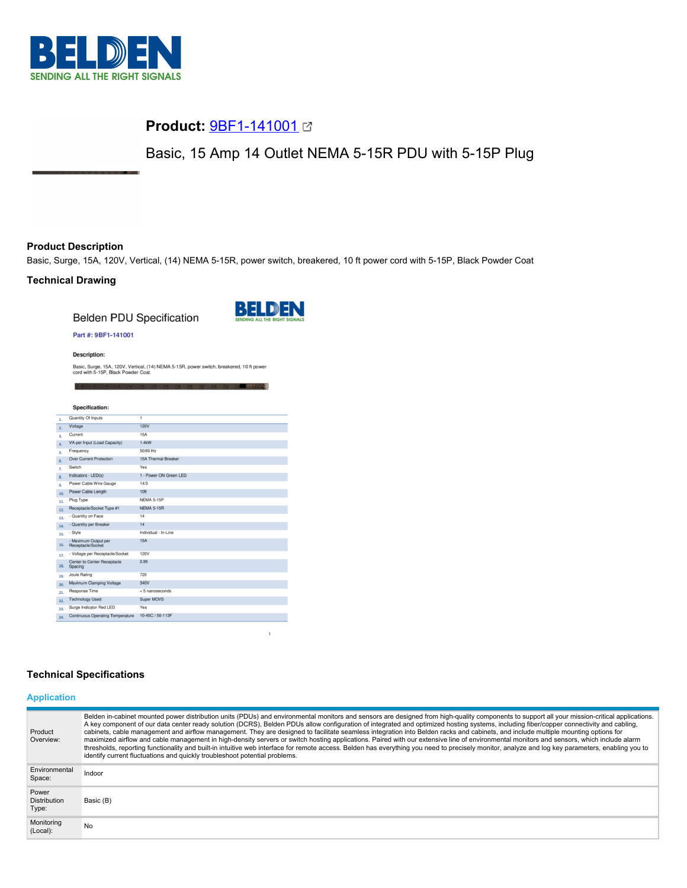

# **Product:** [9BF1-141001](https://catalog.belden.com/index.cfm?event=pd&p=PF_9BF1141001&tab=downloads)

Basic, 15 Amp 14 Outlet NEMA 5-15R PDU with 5-15P Plug

# **Product Description**

Basic, Surge, 15A, 120V, Vertical, (14) NEMA 5-15R, power switch, breakered, 10 ft power cord with 5-15P, Black Powder Coat

## **Technical Drawing**

**Belden PDU Specification** 



 $\mathbf{1}$ 

**IN DISTURBANCE** 

#### Part #: 9BF1-141001

**Description:** 

Basic, Surge, 15A, 120V, Vertical, (14) NEMA 5-15R, power switch, breakered, 10 ft power cord with 5-15P, Black Powder Coat.

|                  | <b>Specification:</b>                         |                        |
|------------------|-----------------------------------------------|------------------------|
| 1.               | Quantity Of Inputs                            | $\overline{1}$         |
| 2.               | Voltage                                       | <b>120V</b>            |
| 3.               | Current                                       | <b>15A</b>             |
| $\overline{a}$ . | VA per Input (Load Capacity)                  | 1.4kW                  |
| s.               | Frequency                                     | 50/60 Hz               |
| 6.               | <b>Over Current Protection</b>                | 15A Thermal Breaker    |
| 7.               | Switch                                        | Yes                    |
| 8.               | Indicators - LED(s)                           | 1 - Power ON Green LED |
| 9.               | Power Cable Wire Gauge                        | 14/3                   |
| 10.              | Power Cable Length                            | 10 <sub>ft</sub>       |
| 11.              | Plug Type                                     | <b>NEMA 5-15P</b>      |
| 12.              | Receptacle/Socket Type #1                     | <b>NEMA 5-15R</b>      |
| 13.              | - Quantity on Face                            | 14                     |
| 14.              | - Quantity per Breaker                        | 14                     |
| 15.              | - Style                                       | Individual - In-Line   |
| 16.              | - Maximum Output per<br>Receptacle/Socket     | <b>15A</b>             |
| 17.              | - Voltage per Receptacle/Socket               | 120V                   |
| 18.              | <b>Center to Center Receptacle</b><br>Spacing | 2.95                   |
| 19.              | Joule Rating                                  | 720                    |
| 20.              | Maximum Clamping Voltage                      | 340V                   |
| 21.              | <b>Response Time</b>                          | < 5 nanoseconds        |
| 22.              | <b>Technology Used</b>                        | Super MOVS             |
| 23.              | Surge Indicator Red LED                       | Yes                    |
| 24.              | <b>Continuous Operating Temperature</b>       | 10-45C / 50-113F       |

## **Technical Specifications**

# **Application**

| Product<br>Overview:                  | Belden in-cabinet mounted power distribution units (PDUs) and environmental monitors and sensors are designed from high-quality components to support all your mission-critical applications.<br>A key component of our data center ready solution (DCRS), Belden PDUs allow configuration of integrated and optimized hosting systems, including fiber/copper connectivity and cabling,<br>cabinets, cable management and airflow management. They are designed to facilitate seamless integration into Belden racks and cabinets, and include multiple mounting options for<br>maximized airflow and cable management in high-density servers or switch hosting applications. Paired with our extensive line of environmental monitors and sensors, which include alarm<br>thresholds, reporting functionality and built-in intuitive web interface for remote access. Belden has everything you need to precisely monitor, analyze and log key parameters, enabling you to<br>identify current fluctuations and quickly troubleshoot potential problems. |
|---------------------------------------|-------------------------------------------------------------------------------------------------------------------------------------------------------------------------------------------------------------------------------------------------------------------------------------------------------------------------------------------------------------------------------------------------------------------------------------------------------------------------------------------------------------------------------------------------------------------------------------------------------------------------------------------------------------------------------------------------------------------------------------------------------------------------------------------------------------------------------------------------------------------------------------------------------------------------------------------------------------------------------------------------------------------------------------------------------------|
| Environmental<br>Space:               | Indoor                                                                                                                                                                                                                                                                                                                                                                                                                                                                                                                                                                                                                                                                                                                                                                                                                                                                                                                                                                                                                                                      |
| Power<br><b>Distribution</b><br>Type: | Basic (B)                                                                                                                                                                                                                                                                                                                                                                                                                                                                                                                                                                                                                                                                                                                                                                                                                                                                                                                                                                                                                                                   |
| Monitoring<br>(Local):                | No                                                                                                                                                                                                                                                                                                                                                                                                                                                                                                                                                                                                                                                                                                                                                                                                                                                                                                                                                                                                                                                          |